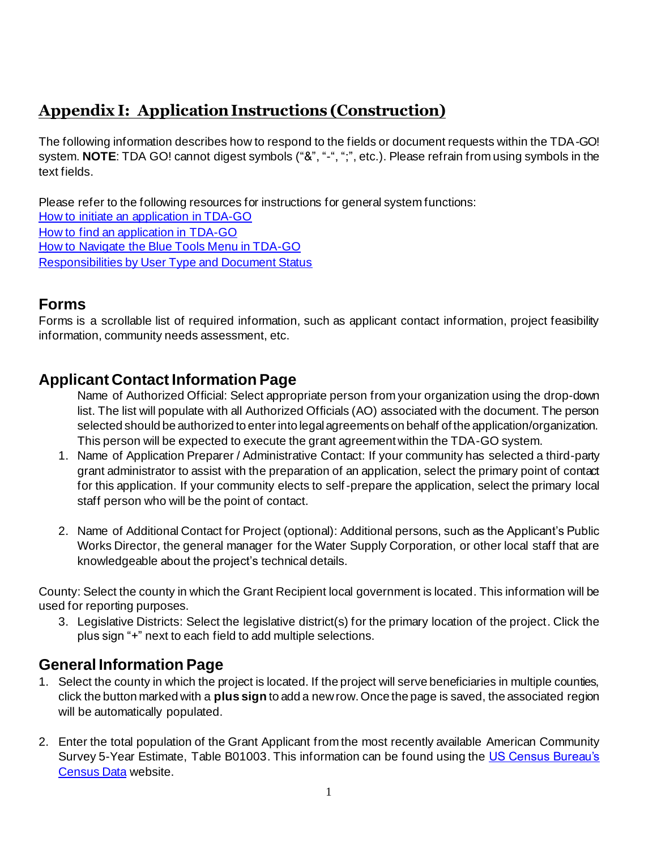# **Appendix I: Application Instructions (Construction)**

The following information describes how to respond to the fields or document requests within the TDA-GO! system. **NOTE**: TDA GO! cannot digest symbols ("&", "-", ";", etc.). Please refrain from using symbols in the text fields.

Please refer to the following resources for instructions for general system functions: How to initiate [an application in TDA-GO](https://texasagriculture.gov/Portals/0/Publications/RED/CDBG/2022%20Implementation%20Manual/How%20to%20Initiate%20a%20Grant%20Application%20in%20TDA-GO.pdf) [How to find an application in TDA-GO](https://texasagriculture.gov/Portals/0/Publications/RED/CDBG/2022%20Implementation%20Manual/How%20to%20Find%20a%20Grant%20Application%20in%20TDA-GO.pdf) [How to Navigate the Blue Tools Menu in TDA-GO](https://texasagriculture.gov/Portals/0/Publications/RED/CDBG/2021/TDA-GO%20Resources/FINAL%20-%20How%20to%20Navigate%20the%20Blue%20Tools%20Menu%20in%20TDA-GO%201.28.2022.pdf) [Responsibilities by User Type and Document Status](https://texasagriculture.gov/Portals/0/Publications/RED/CDBG/2021/TDA-GO%20Resources/TDA-GO_Responsibilities%20by%20Status%20for%20posting.pdf)

### **Forms**

Forms is a scrollable list of required information, such as applicant contact information, project feasibility information, community needs assessment, etc.

## **Applicant Contact Information Page**

Name of Authorized Official: Select appropriate person from your organization using the drop-down list. The list will populate with all Authorized Officials (AO) associated with the document. The person selected should be authorized to enter into legal agreements on behalf of the application/organization. This person will be expected to execute the grant agreement within the TDA-GO system.

- 1. Name of Application Preparer / Administrative Contact: If your community has selected a third-party grant administrator to assist with the preparation of an application, select the primary point of contact for this application. If your community elects to self-prepare the application, select the primary local staff person who will be the point of contact.
- 2. Name of Additional Contact for Project (optional): Additional persons, such as the Applicant's Public Works Director, the general manager for the Water Supply Corporation, or other local staff that are knowledgeable about the project's technical details.

County: Select the county in which the Grant Recipient local government is located. This information will be used for reporting purposes.

3. Legislative Districts: Select the legislative district(s) for the primary location of the project. Click the plus sign "+" next to each field to add multiple selections.

## **General Information Page**

- 1. Select the county in which the project is located. If the project will serve beneficiaries in multiple counties, click the button marked with a **plus sign** to add a new row. Once the page is saved, the associated region will be automatically populated.
- 2. Enter the total population of the Grant Applicant from the most recently available American Community Survey 5-Year Estimate, Table B01003. This information can be found using th[e US Census Bureau's](https://data.census.gov/cedsci/)  [Census Data](https://data.census.gov/cedsci/) website.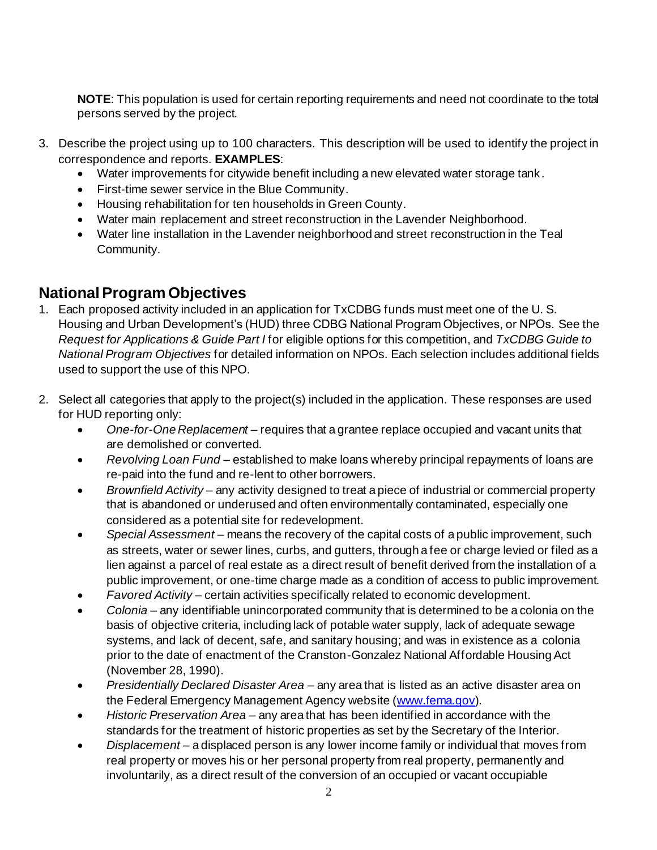**NOTE**: This population is used for certain reporting requirements and need not coordinate to the total persons served by the project.

- 3. Describe the project using up to 100 characters. This description will be used to identify the project in correspondence and reports. **EXAMPLES**:
	- Water improvements for citywide benefit including a new elevated water storage tank.
	- First-time sewer service in the Blue Community.
	- Housing rehabilitation for ten households in Green County.
	- Water main replacement and street reconstruction in the Lavender Neighborhood.
	- Water line installation in the Lavender neighborhood and street reconstruction in the Teal Community.

# **National Program Objectives**

- 1. Each proposed activity included in an application for TxCDBG funds must meet one of the U. S. Housing and Urban Development's (HUD) three CDBG National Program Objectives, or NPOs. See the *Request for Applications & Guide Part I* for eligible options for this competition, and *TxCDBG Guide to National Program Objectives* for detailed information on NPOs. Each selection includes additional fields used to support the use of this NPO.
- 2. Select all categories that apply to the project(s) included in the application. These responses are used for HUD reporting only:
	- *One-for-One Replacement* requires that a grantee replace occupied and vacant units that are demolished or converted.
	- *Revolving Loan Fund* established to make loans whereby principal repayments of loans are re-paid into the fund and re-lent to other borrowers.
	- *Brownfield Activity* any activity designed to treat a piece of industrial or commercial property that is abandoned or underused and often environmentally contaminated, especially one considered as a potential site for redevelopment.
	- *Special Assessment* means the recovery of the capital costs of a public improvement, such as streets, water or sewer lines, curbs, and gutters, through a fee or charge levied or filed as a lien against a parcel of real estate as a direct result of benefit derived from the installation of a public improvement, or one-time charge made as a condition of access to public improvement.
	- *Favored Activity* certain activities specifically related to economic development.
	- *Colonia* any identifiable unincorporated community that is determined to be a colonia on the basis of objective criteria, including lack of potable water supply, lack of adequate sewage systems, and lack of decent, safe, and sanitary housing; and was in existence as a colonia prior to the date of enactment of the Cranston-Gonzalez National Affordable Housing Act (November 28, 1990).
	- *Presidentially Declared Disaster Area* any area that is listed as an active disaster area on the Federal Emergency Management Agency website [\(www.fema.gov](http://www.fema.gov/)).
	- *Historic Preservation Area* any area that has been identified in accordance with the standards for the treatment of historic properties as set by the Secretary of the Interior.
	- *Displacement* a displaced person is any lower income family or individual that moves from real property or moves his or her personal property from real property, permanently and involuntarily, as a direct result of the conversion of an occupied or vacant occupiable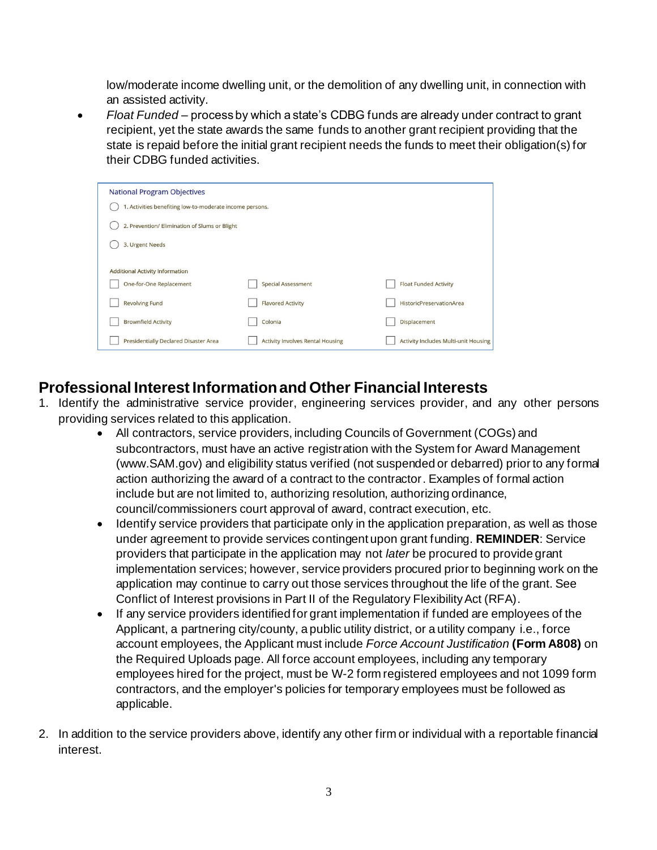low/moderate income dwelling unit, or the demolition of any dwelling unit, in connection with an assisted activity.

• *Float Funded* – process by which a state's CDBG funds are already under contract to grant recipient, yet the state awards the same funds to another grant recipient providing that the state is repaid before the initial grant recipient needs the funds to meet their obligation(s) for their CDBG funded activities.

| <b>National Program Objectives</b>                       |                                               |                                             |  |  |  |  |
|----------------------------------------------------------|-----------------------------------------------|---------------------------------------------|--|--|--|--|
| 1. Activities benefiting low-to-moderate income persons. |                                               |                                             |  |  |  |  |
|                                                          | 2. Prevention/ Elimination of Slums or Blight |                                             |  |  |  |  |
| 3. Urgent Needs                                          |                                               |                                             |  |  |  |  |
|                                                          |                                               |                                             |  |  |  |  |
| <b>Additional Activity Information</b>                   |                                               |                                             |  |  |  |  |
| One-for-One Replacement                                  | <b>Special Assessment</b>                     | <b>Float Funded Activity</b>                |  |  |  |  |
| <b>Revolving Fund</b>                                    | <b>Flavored Activity</b>                      | HistoricPreservationArea                    |  |  |  |  |
| <b>Brownfield Activity</b>                               | Colonia                                       | Displacement                                |  |  |  |  |
| <b>Presidentially Declared Disaster Area</b>             | <b>Activity Involves Rental Housing</b>       | <b>Activity Includes Multi-unit Housing</b> |  |  |  |  |
|                                                          |                                               |                                             |  |  |  |  |

### **Professional Interest Informationand Other Financial Interests**

- 1. Identify the administrative service provider, engineering services provider, and any other persons providing services related to this application.
	- All contractors, service providers, including Councils of Government (COGs) and subcontractors, must have an active registration with the System for Award Management (www.SAM.gov) and eligibility status verified (not suspended or debarred) prior to any formal action authorizing the award of a contract to the contractor. Examples of formal action include but are not limited to, authorizing resolution, authorizing ordinance, council/commissioners court approval of award, contract execution, etc.
	- Identify service providers that participate only in the application preparation, as well as those under agreement to provide services contingent upon grant funding. **REMINDER**: Service providers that participate in the application may not *later* be procured to provide grant implementation services; however, service providers procured prior to beginning work on the application may continue to carry out those services throughout the life of the grant. See Conflict of Interest provisions in Part II of the Regulatory Flexibility Act (RFA).
	- If any service providers identified for grant implementation if funded are employees of the Applicant, a partnering city/county, a public utility district, or a utility company i.e., force account employees, the Applicant must include *Force Account Justification* **(Form A808)** on the Required Uploads page. All force account employees, including any temporary employees hired for the project, must be W-2 form registered employees and not 1099 form contractors, and the employer's policies for temporary employees must be followed as applicable.
- 2. In addition to the service providers above, identify any other firm or individual with a reportable financial interest.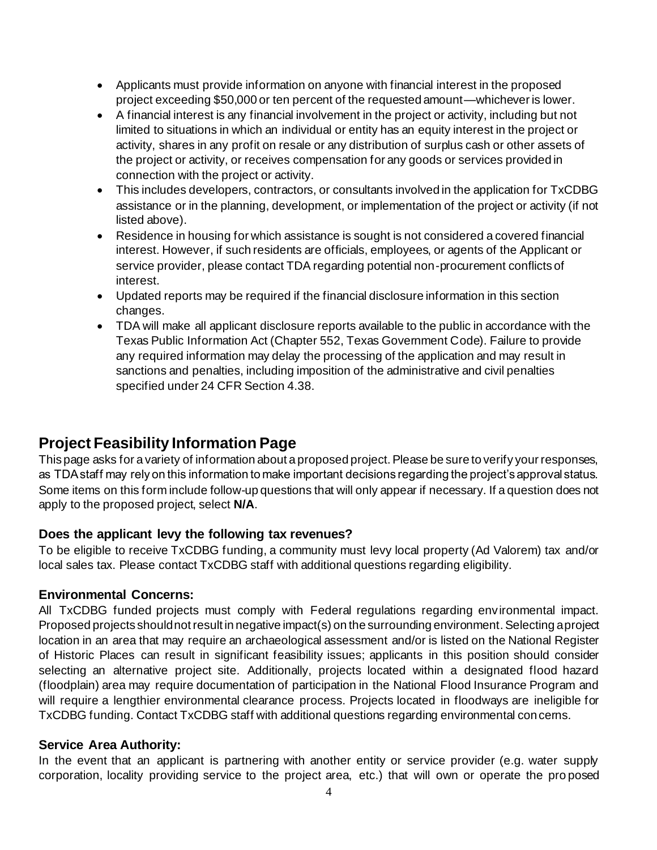- Applicants must provide information on anyone with financial interest in the proposed project exceeding \$50,000 or ten percent of the requested amount—whichever is lower.
- A financial interest is any financial involvement in the project or activity, including but not limited to situations in which an individual or entity has an equity interest in the project or activity, shares in any profit on resale or any distribution of surplus cash or other assets of the project or activity, or receives compensation for any goods or services provided in connection with the project or activity.
- This includes developers, contractors, or consultants involved in the application for TxCDBG assistance or in the planning, development, or implementation of the project or activity (if not listed above).
- Residence in housing for which assistance is sought is not considered a covered financial interest. However, if such residents are officials, employees, or agents of the Applicant or service provider, please contact TDA regarding potential non-procurement conflicts of interest.
- Updated reports may be required if the financial disclosure information in this section changes.
- TDA will make all applicant disclosure reports available to the public in accordance with the Texas Public Information Act (Chapter 552, Texas Government Code). Failure to provide any required information may delay the processing of the application and may result in sanctions and penalties, including imposition of the administrative and civil penalties specified under 24 CFR Section 4.38.

### **Project Feasibility Information Page**

This page asks for a variety of information about a proposed project. Please be sure to verify your responses, as TDA staff may rely on this information to make important decisions regarding the project's approval status. Some items on this form include follow-up questions that will only appear if necessary. If a question does not apply to the proposed project, select **N/A**.

#### **Does the applicant levy the following tax revenues?**

To be eligible to receive TxCDBG funding, a community must levy local property (Ad Valorem) tax and/or local sales tax. Please contact TxCDBG staff with additional questions regarding eligibility.

#### **Environmental Concerns:**

All TxCDBG funded projects must comply with Federal regulations regarding environmental impact. Proposed projects should not result in negative impact(s) on the surrounding environment. Selecting a project location in an area that may require an archaeological assessment and/or is listed on the National Register of Historic Places can result in significant feasibility issues; applicants in this position should consider selecting an alternative project site. Additionally, projects located within a designated flood hazard (floodplain) area may require documentation of participation in the National Flood Insurance Program and will require a lengthier environmental clearance process. Projects located in floodways are ineligible for TxCDBG funding. Contact TxCDBG staff with additional questions regarding environmental concerns.

#### **Service Area Authority:**

In the event that an applicant is partnering with another entity or service provider (e.g. water supply corporation, locality providing service to the project area, etc.) that will own or operate the pro posed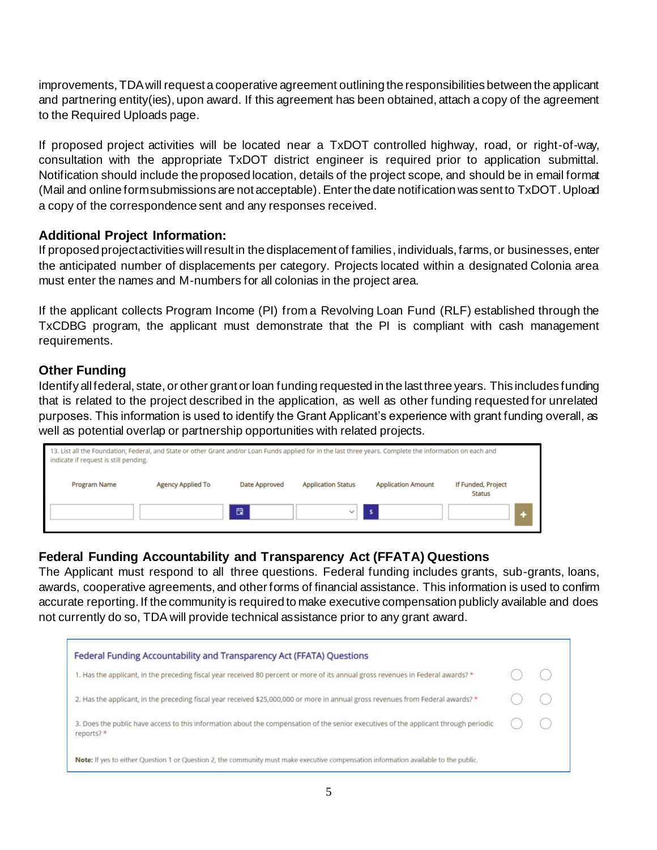improvements, TDA will request a cooperative agreement outlining the responsibilities between the applicant and partnering entity(ies), upon award. If this agreement has been obtained, attach a copy of the agreement to the Required Uploads page.

If proposed project activities will be located near a TxDOT controlled highway, road, or right-of-way, consultation with the appropriate TxDOT district engineer is required prior to application submittal. Notification should include the proposed location, details of the project scope, and should be in email format (Mail and online form submissions are not acceptable).Enter the date notification was sent to TxDOT. Upload a copy of the correspondence sent and any responses received.

#### **Additional Project Information:**

If proposed project activities will result in the displacement of families, individuals, farms, or businesses, enter the anticipated number of displacements per category. Projects located within a designated Colonia area must enter the names and M-numbers for all colonias in the project area.

If the applicant collects Program Income (PI) from a Revolving Loan Fund (RLF) established through the TxCDBG program, the applicant must demonstrate that the PI is compliant with cash management requirements.

### **Other Funding**

Identify all federal, state, or other grant or loan funding requested in the last three years. This includes funding that is related to the project described in the application, as well as other funding requested for unrelated purposes. This information is used to identify the Grant Applicant's experience with grant funding overall, as well as potential overlap or partnership opportunities with related projects.

| 13. List all the Foundation, Federal, and State or other Grant and/or Loan Funds applied for in the last three years. Complete the information on each and<br>indicate if request is still pending. |                          |               |                           |                           |                                     |
|-----------------------------------------------------------------------------------------------------------------------------------------------------------------------------------------------------|--------------------------|---------------|---------------------------|---------------------------|-------------------------------------|
| Program Name                                                                                                                                                                                        | <b>Agency Applied To</b> | Date Approved | <b>Application Status</b> | <b>Application Amount</b> | If Funded, Project<br><b>Status</b> |
|                                                                                                                                                                                                     |                          | 白             |                           | s.                        |                                     |

#### **Federal Funding Accountability and Transparency Act (FFATA) Questions**

The Applicant must respond to all three questions. Federal funding includes grants, sub-grants, loans, awards, cooperative agreements, and other forms of financial assistance. This information is used to confirm accurate reporting. If the community is required to make executive compensation publicly available and does not currently do so, TDA will provide technical assistance prior to any grant award.

| Federal Funding Accountability and Transparency Act (FFATA) Questions                                                                             |  |
|---------------------------------------------------------------------------------------------------------------------------------------------------|--|
| 1. Has the applicant, in the preceding fiscal year received 80 percent or more of its annual gross revenues in Federal awards?*                   |  |
| 2. Has the applicant, in the preceding fiscal year received \$25,000,000 or more in annual gross revenues from Federal awards? *                  |  |
| 3. Does the public have access to this information about the compensation of the senior executives of the applicant through periodic<br>reports?* |  |
| Note: If yes to either Question 1 or Question 2, the community must make executive compensation information available to the public.              |  |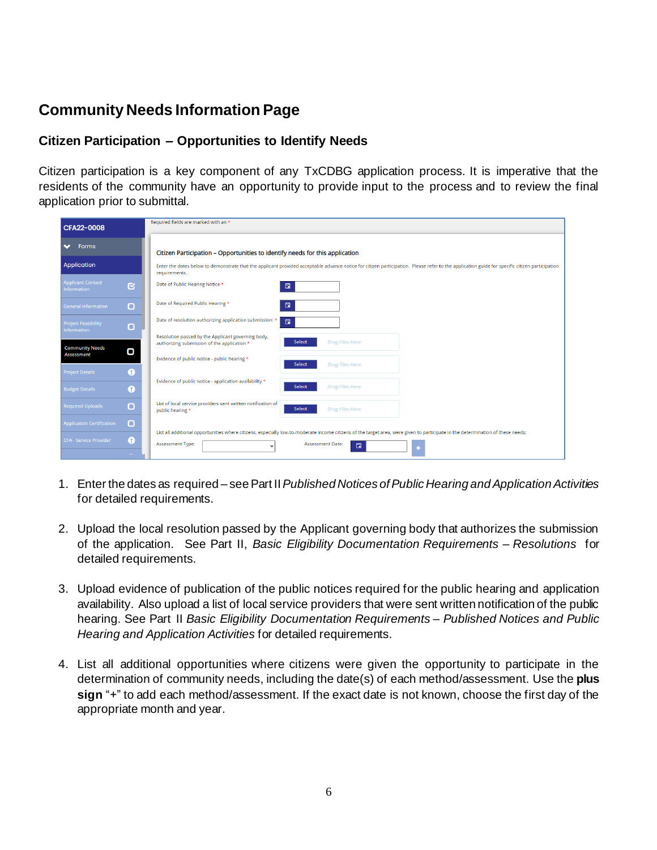# **Community Needs Information Page**

### **Citizen Participation – Opportunities to Identify Needs**

Citizen participation is a key component of any TxCDBG application process. It is imperative that the residents of the community have an opportunity to provide input to the process and to review the final application prior to submittal.

| CFA22-0008                                                                | Required fields are marked with an *                                                                                                                                                                            |
|---------------------------------------------------------------------------|-----------------------------------------------------------------------------------------------------------------------------------------------------------------------------------------------------------------|
| $\blacktriangleright$ Forms                                               | Citizen Participation - Opportunities to identify needs for this application                                                                                                                                    |
| Application                                                               | Enter the dates below to demonstrate that the applicant provided acceptable advance notice for citizen participation. Please refer to the application guide for specific citizen participation<br>requirements. |
| <b>Applicant Contact</b><br>$\overline{\mathbf{g}}$<br><b>Information</b> | Date of Public Hearing Notice *<br>日                                                                                                                                                                            |
| $\Box$<br><b>General Information</b>                                      | Date of Required Public Hearing *<br>日                                                                                                                                                                          |
| <b>Project Feasibility</b><br>$\Box$<br><b>Information</b>                | Date of resolution authorizing application submission: *<br>日                                                                                                                                                   |
| <b>Community Needs</b><br>О                                               | Resolution passed by the Applicant governing body,<br>Select<br><b>Drag Files Here</b><br>authorizing submission of the application *                                                                           |
| <b>Assessment</b>                                                         | Evidence of public notice - public hearing *<br>Select<br><b>Drag Files Here</b>                                                                                                                                |
| <b>Project Details</b><br>Ω                                               | Evidence of public notice - application availability *                                                                                                                                                          |
| Ω<br><b>Budget Details</b>                                                | <b>Drag Files Here</b><br>Select                                                                                                                                                                                |
| $\Box$<br><b>Required Uploads</b>                                         | List of local service providers sent written notification of<br>Select<br><b>Drag Files Here</b><br>public hearing *                                                                                            |
| $\Box$<br><b>Application Certification</b>                                | List all additional opportunities where citizens, especially low-to-moderate income citizens of the target area, were given to participate in the determination of these needs:                                 |
| $\bullet$<br><b>CFA - Service Provider</b>                                | <b>Assessment Type:</b><br><b>Assessment Date:</b><br>日                                                                                                                                                         |
|                                                                           |                                                                                                                                                                                                                 |

- 1. Enter the dates as required see Part II *Published Notices of Public Hearing and Application Activities* for detailed requirements.
- 2. Upload the local resolution passed by the Applicant governing body that authorizes the submission of the application. See Part II, *Basic Eligibility Documentation Requirements – Resolutions* for detailed requirements.
- 3. Upload evidence of publication of the public notices required for the public hearing and application availability. Also upload a list of local service providers that were sent written notification of the public hearing. See Part II *Basic Eligibility Documentation Requirements – Published Notices and Public Hearing and Application Activities* for detailed requirements.
- 4. List all additional opportunities where citizens were given the opportunity to participate in the determination of community needs, including the date(s) of each method/assessment. Use the **plus sign** "+" to add each method/assessment. If the exact date is not known, choose the first day of the appropriate month and year.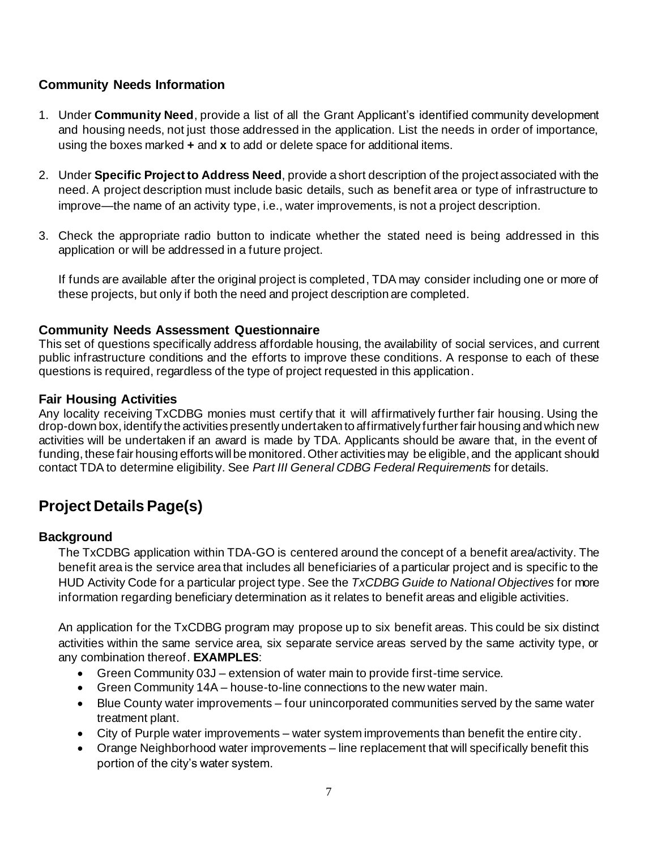### **Community Needs Information**

- 1. Under **Community Need**, provide a list of all the Grant Applicant's identified community development and housing needs, not just those addressed in the application. List the needs in order of importance, using the boxes marked **+** and **x** to add or delete space for additional items.
- 2. Under **Specific Project to Address Need**, provide a short description of the project associated with the need. A project description must include basic details, such as benefit area or type of infrastructure to improve—the name of an activity type, i.e., water improvements, is not a project description.
- 3. Check the appropriate radio button to indicate whether the stated need is being addressed in this application or will be addressed in a future project.

If funds are available after the original project is completed, TDA may consider including one or more of these projects, but only if both the need and project description are completed.

#### **Community Needs Assessment Questionnaire**

This set of questions specifically address affordable housing, the availability of social services, and current public infrastructure conditions and the efforts to improve these conditions. A response to each of these questions is required, regardless of the type of project requested in this application.

#### **Fair Housing Activities**

Any locality receiving TxCDBG monies must certify that it will affirmatively further fair housing. Using the drop-down box, identify the activities presently undertaken to affirmatively further fair housing and which new activities will be undertaken if an award is made by TDA. Applicants should be aware that, in the event of funding, these fair housing efforts will be monitored. Other activities may be eligible, and the applicant should contact TDA to determine eligibility. See *Part III General CDBG Federal Requirements* for details.

# **Project DetailsPage(s)**

#### **Background**

The TxCDBG application within TDA-GO is centered around the concept of a benefit area/activity. The benefit area is the service area that includes all beneficiaries of a particular project and is specific to the HUD Activity Code for a particular project type. See the *TxCDBG Guide to National Objectives* for more information regarding beneficiary determination as it relates to benefit areas and eligible activities*.*

An application for the TxCDBG program may propose up to six benefit areas. This could be six distinct activities within the same service area, six separate service areas served by the same activity type, or any combination thereof. **EXAMPLES**:

- Green Community 03J extension of water main to provide first-time service.
- Green Community 14A house-to-line connections to the new water main.
- Blue County water improvements four unincorporated communities served by the same water treatment plant.
- City of Purple water improvements water system improvements than benefit the entire city.
- Orange Neighborhood water improvements line replacement that will specifically benefit this portion of the city's water system.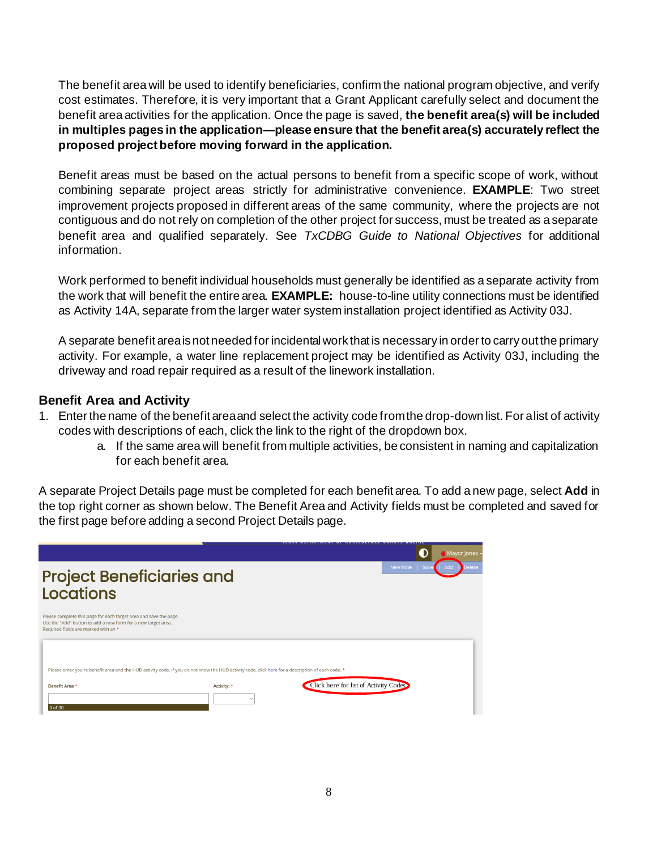The benefit area will be used to identify beneficiaries, confirm the national program objective, and verify cost estimates. Therefore, it is very important that a Grant Applicant carefully select and document the benefit area activities for the application. Once the page is saved, **the benefit area(s) will be included in multiples pages in the application—please ensure that the benefit area(s) accurately reflect the proposed project before moving forward in the application.**

Benefit areas must be based on the actual persons to benefit from a specific scope of work, without combining separate project areas strictly for administrative convenience. **EXAMPLE**: Two street improvement projects proposed in different areas of the same community, where the projects are not contiguous and do not rely on completion of the other project for success, must be treated as a separate benefit area and qualified separately. See *TxCDBG Guide to National Objectives* for additional information.

Work performed to benefit individual households must generally be identified as a separate activity from the work that will benefit the entire area. **EXAMPLE:** house-to-line utility connections must be identified as Activity 14A, separate from the larger water system installation project identified as Activity 03J.

A separate benefit area is not needed for incidental work that is necessary in order to carry out the primary activity. For example, a water line replacement project may be identified as Activity 03J, including the driveway and road repair required as a result of the linework installation.

#### **Benefit Area and Activity**

- 1. Enter the name of the benefit area and select the activity code from the drop-down list. For a list of activity codes with descriptions of each, click the link to the right of the dropdown box.
	- a. If the same area will benefit from multiple activities, be consistent in naming and capitalization for each benefit area.

A separate Project Details page must be completed for each benefit area. To add a new page, select **Add** in the top right corner as shown below. The Benefit Area and Activity fields must be completed and saved for the first page before adding a second Project Details page.

|                                                                                                                                                                            |             |                                       | Mayor Jones                      |
|----------------------------------------------------------------------------------------------------------------------------------------------------------------------------|-------------|---------------------------------------|----------------------------------|
| <b>Project Beneficiaries and</b><br>Locations                                                                                                                              |             |                                       | New Note   Save<br>Add<br>Delete |
| Please complete this page for each target area and save the page.<br>Use the "Add" button to add a new form for a new target area.<br>Required fields are marked with an * |             |                                       |                                  |
| Please enter you're benefit area and the HUD activity code. If you do not know the HUD activity code, click here for a description of each code. *                         |             |                                       |                                  |
| Benefit Area *                                                                                                                                                             | Activity: * | Click here for list of Activity Codes |                                  |
| 0 of 30                                                                                                                                                                    |             |                                       |                                  |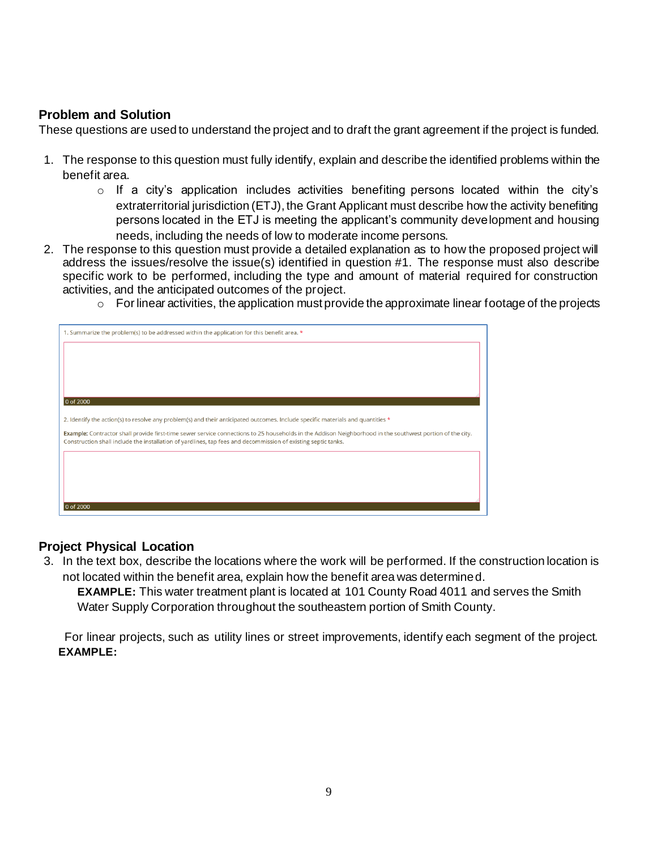### **Problem and Solution**

These questions are used to understand the project and to draft the grant agreement if the project is funded.

- 1. The response to this question must fully identify, explain and describe the identified problems within the benefit area.
	- $\circ$  If a city's application includes activities benefiting persons located within the city's extraterritorial jurisdiction (ETJ), the Grant Applicant must describe how the activity benefiting persons located in the ETJ is meeting the applicant's community development and housing needs, including the needs of low to moderate income persons.
- 2. The response to this question must provide a detailed explanation as to how the proposed project will address the issues/resolve the issue(s) identified in question #1. The response must also describe specific work to be performed, including the type and amount of material required for construction activities, and the anticipated outcomes of the project.
	- $\circ$  For linear activities, the application must provide the approximate linear footage of the projects

| 1. Summarize the problem(s) to be addressed within the application for this benefit area. *                                                                                                                                                                                |
|----------------------------------------------------------------------------------------------------------------------------------------------------------------------------------------------------------------------------------------------------------------------------|
|                                                                                                                                                                                                                                                                            |
|                                                                                                                                                                                                                                                                            |
|                                                                                                                                                                                                                                                                            |
| 0 of 2000                                                                                                                                                                                                                                                                  |
| 2. Identify the action(s) to resolve any problem(s) and their anticipated outcomes. Include specific materials and quantities *                                                                                                                                            |
|                                                                                                                                                                                                                                                                            |
| Example: Contractor shall provide first-time sewer service connections to 25 households in the Addison Neighborhood in the southwest portion of the city.<br>Construction shall include the installation of yardlines, tap fees and decommission of existing septic tanks. |
|                                                                                                                                                                                                                                                                            |
|                                                                                                                                                                                                                                                                            |
|                                                                                                                                                                                                                                                                            |
| 0 of 2000                                                                                                                                                                                                                                                                  |

#### **Project Physical Location**

3. In the text box, describe the locations where the work will be performed. If the construction location is not located within the benefit area, explain how the benefit area was determined.

**EXAMPLE:** This water treatment plant is located at 101 County Road 4011 and serves the Smith Water Supply Corporation throughout the southeastern portion of Smith County.

For linear projects, such as utility lines or street improvements, identify each segment of the project. **EXAMPLE:**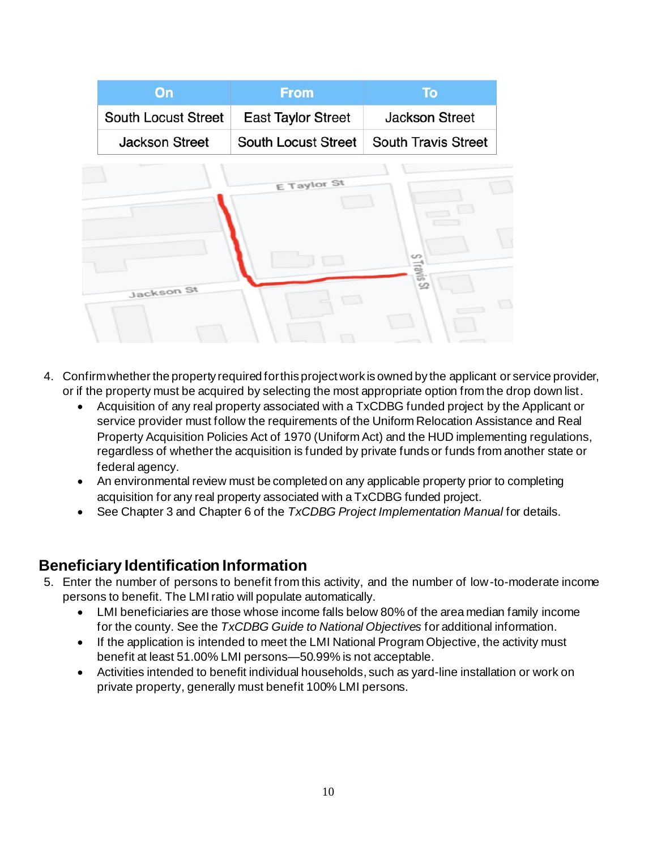| On                         | <b>From</b>                | <b>To</b>                        |
|----------------------------|----------------------------|----------------------------------|
| <b>South Locust Street</b> | <b>East Taylor Street</b>  | <b>Jackson Street</b>            |
| <b>Jackson Street</b>      | <b>South Locust Street</b> | <b>South Travis Street</b>       |
|                            | E Taylor St                |                                  |
| Jackson St                 |                            | $\omega$<br>Travis <sub>St</sub> |
|                            |                            |                                  |

- 4. Confirm whether the property required for this project work is owned by the applicant or service provider, or if the property must be acquired by selecting the most appropriate option from the drop down list.
	- Acquisition of any real property associated with a TxCDBG funded project by the Applicant or service provider must follow the requirements of the Uniform Relocation Assistance and Real Property Acquisition Policies Act of 1970 (Uniform Act) and the HUD implementing regulations, regardless of whether the acquisition is funded by private funds or funds from another state or federal agency.
	- An environmental review must be completed on any applicable property prior to completing acquisition for any real property associated with a TxCDBG funded project.
	- See Chapter 3 and Chapter 6 of the *TxCDBG Project Implementation Manual* for details.

### **Beneficiary Identification Information**

- 5. Enter the number of persons to benefit from this activity, and the number of low-to-moderate income persons to benefit. The LMI ratio will populate automatically.
	- LMI beneficiaries are those whose income falls below 80% of the area median family income for the county. See the *TxCDBG Guide to National Objectives* for additional information.
	- If the application is intended to meet the LMI National Program Objective, the activity must benefit at least 51.00% LMI persons—50.99% is not acceptable.
	- Activities intended to benefit individual households, such as yard-line installation or work on private property, generally must benefit 100% LMI persons.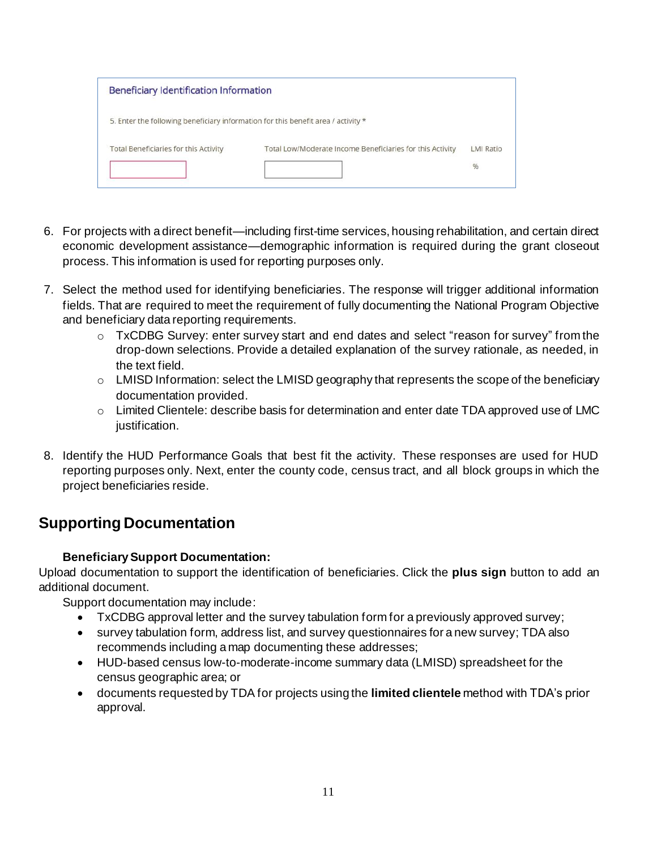| Beneficiary Identification Information                                            |                                                           |                  |  |  |
|-----------------------------------------------------------------------------------|-----------------------------------------------------------|------------------|--|--|
| 5. Enter the following beneficiary information for this benefit area / activity * |                                                           |                  |  |  |
| Total Beneficiaries for this Activity                                             | Total Low/Moderate Income Beneficiaries for this Activity | <b>LMI Ratio</b> |  |  |
|                                                                                   |                                                           | %                |  |  |

- 6. For projects with a direct benefit—including first-time services, housing rehabilitation, and certain direct economic development assistance—demographic information is required during the grant closeout process. This information is used for reporting purposes only.
- 7. Select the method used for identifying beneficiaries. The response will trigger additional information fields. That are required to meet the requirement of fully documenting the National Program Objective and beneficiary data reporting requirements.
	- $\circ$  TxCDBG Survey: enter survey start and end dates and select "reason for survey" from the drop-down selections. Provide a detailed explanation of the survey rationale, as needed, in the text field.
	- o LMISD Information: select the LMISD geography that represents the scope of the beneficiary documentation provided.
	- $\circ$  Limited Clientele: describe basis for determination and enter date TDA approved use of LMC justification.
- 8. Identify the HUD Performance Goals that best fit the activity. These responses are used for HUD reporting purposes only. Next, enter the county code, census tract, and all block groups in which the project beneficiaries reside.

## **Supporting Documentation**

### **Beneficiary Support Documentation:**

Upload documentation to support the identification of beneficiaries. Click the **plus sign** button to add an additional document.

Support documentation may include:

- TxCDBG approval letter and the survey tabulation form for a previously approved survey;
- survey tabulation form, address list, and survey questionnaires for a new survey; TDA also recommends including a map documenting these addresses;
- HUD-based census low-to-moderate-income summary data (LMISD) spreadsheet for the census geographic area; or
- documents requested by TDA for projects using the **limited clientele** method with TDA's prior approval.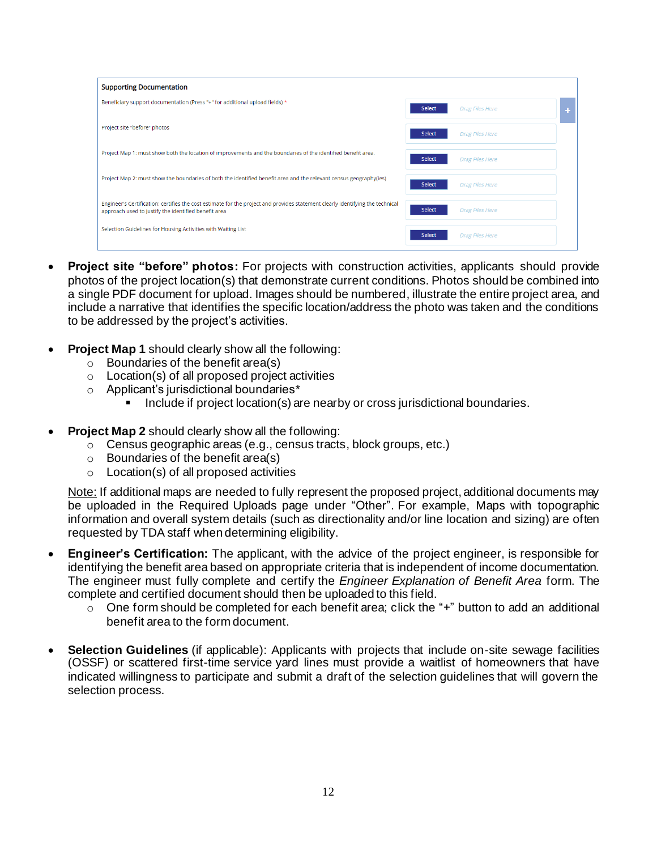| <b>Supporting Documentation</b>                                                                                                                                                        |                                         |
|----------------------------------------------------------------------------------------------------------------------------------------------------------------------------------------|-----------------------------------------|
| Beneficiary support documentation (Press "+" for additional upload fields) *                                                                                                           | Select<br>Drag Files Here               |
| Project site "before" photos                                                                                                                                                           | Select<br><b>Drag Files Here</b>        |
| Project Map 1: must show both the location of improvements and the boundaries of the identified benefit area.                                                                          | <b>Select</b><br><b>Drag Files Here</b> |
| Project Map 2: must show the boundaries of both the identified benefit area and the relevant census geography(ies)                                                                     | <b>Select</b><br><b>Drag Files Here</b> |
| Engineer's Certification: certifies the cost estimate for the project and provides statement clearly identifying the technical<br>approach used to justify the identified benefit area | <b>Select</b><br><b>Drag Files Here</b> |
| Selection Guidelines for Housing Activities with Waiting List                                                                                                                          | <b>Select</b><br><b>Drag Files Here</b> |

- **Project site "before" photos:** For projects with construction activities, applicants should provide photos of the project location(s) that demonstrate current conditions. Photos should be combined into a single PDF document for upload. Images should be numbered, illustrate the entire project area, and include a narrative that identifies the specific location/address the photo was taken and the conditions to be addressed by the project's activities.
- **Project Map 1** should clearly show all the following:
	- $\circ$  Boundaries of the benefit area(s)
	- o Location(s) of all proposed project activities
	- o Applicant's jurisdictional boundaries\*
		- Include if project location(s) are nearby or cross jurisdictional boundaries.
- **Project Map 2** should clearly show all the following:
	- $\circ$  Census geographic areas (e.g., census tracts, block groups, etc.)
	- $\circ$  Boundaries of the benefit area(s)
	- $\circ$  Location(s) of all proposed activities

Note: If additional maps are needed to fully represent the proposed project, additional documents may be uploaded in the Required Uploads page under "Other". For example, Maps with topographic information and overall system details (such as directionality and/or line location and sizing) are often requested by TDA staff when determining eligibility.

- **Engineer's Certification:** The applicant, with the advice of the project engineer, is responsible for identifying the benefit area based on appropriate criteria that is independent of income documentation. The engineer must fully complete and certify the *Engineer Explanation of Benefit Area* form. The complete and certified document should then be uploaded to this field.
	- $\circ$  One form should be completed for each benefit area; click the "+" button to add an additional benefit area to the form document.
- **Selection Guidelines** (if applicable): Applicants with projects that include on-site sewage facilities (OSSF) or scattered first-time service yard lines must provide a waitlist of homeowners that have indicated willingness to participate and submit a draft of the selection guidelines that will govern the selection process.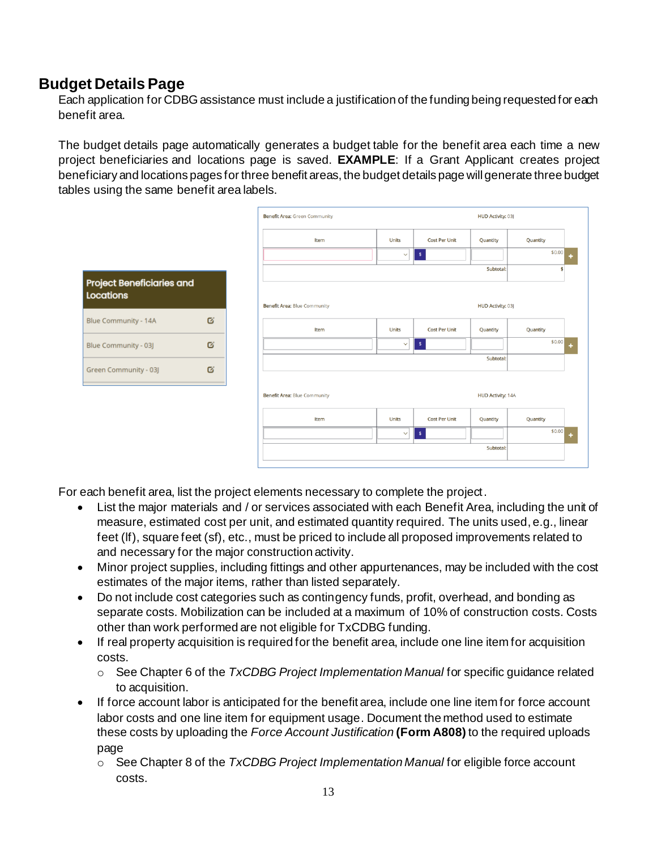### **Budget Details Page**

Each application for CDBG assistance must include a justification of the funding being requested for each benefit area.

The budget details page automatically generates a budget table for the benefit area each time a new project beneficiaries and locations page is saved. **EXAMPLE**: If a Grant Applicant creates project beneficiary and locations pages for three benefit areas, the budget details page will generate three budget tables using the same benefit area labels.



For each benefit area, list the project elements necessary to complete the project.

- List the major materials and / or services associated with each Benefit Area, including the unit of measure, estimated cost per unit, and estimated quantity required. The units used, e.g., linear feet (lf), square feet (sf), etc., must be priced to include all proposed improvements related to and necessary for the major construction activity.
- Minor project supplies, including fittings and other appurtenances, may be included with the cost estimates of the major items, rather than listed separately.
- Do not include cost categories such as contingency funds, profit, overhead, and bonding as separate costs. Mobilization can be included at a maximum of 10% of construction costs. Costs other than work performed are not eligible for TxCDBG funding.
- If real property acquisition is required for the benefit area, include one line item for acquisition costs.
	- o See Chapter 6 of the *TxCDBG Project Implementation Manual* for specific guidance related to acquisition.
- If force account labor is anticipated for the benefit area, include one line item for force account labor costs and one line item for equipment usage. Document the method used to estimate these costs by uploading the *Force Account Justification* **(Form A808)** to the required uploads page
	- o See Chapter 8 of the *TxCDBG Project Implementation Manual* for eligible force account costs.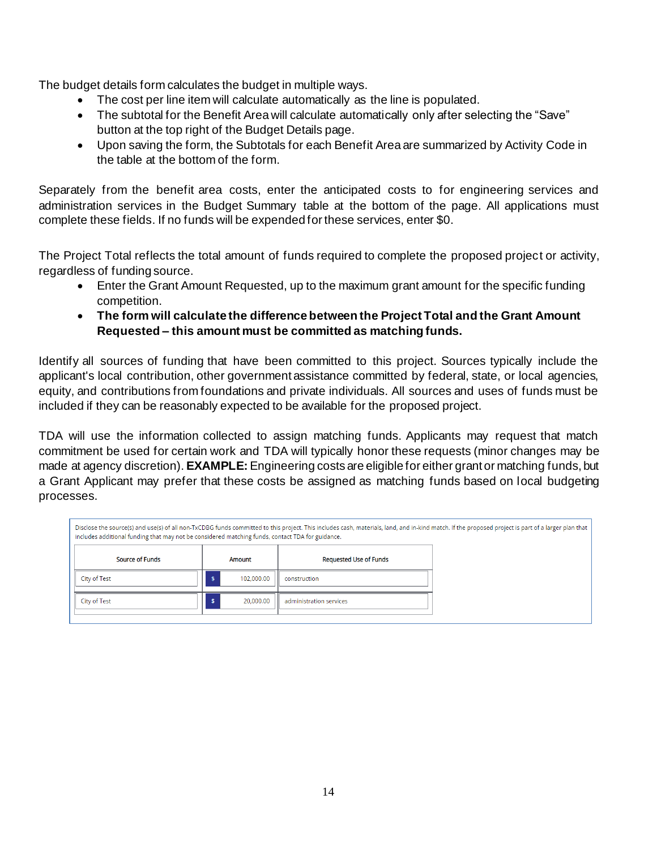The budget details form calculates the budget in multiple ways.

- The cost per line item will calculate automatically as the line is populated.
- The subtotal for the Benefit Area will calculate automatically only after selecting the "Save" button at the top right of the Budget Details page.
- Upon saving the form, the Subtotals for each Benefit Area are summarized by Activity Code in the table at the bottom of the form.

Separately from the benefit area costs, enter the anticipated costs to for engineering services and administration services in the Budget Summary table at the bottom of the page. All applications must complete these fields. If no funds will be expended for these services, enter \$0.

The Project Total reflects the total amount of funds required to complete the proposed project or activity, regardless of funding source.

- Enter the Grant Amount Requested, up to the maximum grant amount for the specific funding competition.
- **The form will calculate the difference between the Project Total and the Grant Amount Requested – this amount must be committed as matching funds.**

Identify all sources of funding that have been committed to this project. Sources typically include the applicant's local contribution, other government assistance committed by federal, state, or local agencies, equity, and contributions from foundations and private individuals. All sources and uses of funds must be included if they can be reasonably expected to be available for the proposed project.

TDA will use the information collected to assign matching funds. Applicants may request that match commitment be used for certain work and TDA will typically honor these requests (minor changes may be made at agency discretion). **EXAMPLE:** Engineering costs are eligible for either grant or matching funds, but a Grant Applicant may prefer that these costs be assigned as matching funds based on local budgeting processes.

| Disclose the source(s) and use(s) of all non-TxCDBG funds committed to this project. This includes cash, materials, land, and in-kind match. If the proposed project is part of a larger plan that<br>includes additional funding that may not be considered matching funds, contact TDA for guidance. |                 |                               |  |  |
|--------------------------------------------------------------------------------------------------------------------------------------------------------------------------------------------------------------------------------------------------------------------------------------------------------|-----------------|-------------------------------|--|--|
| <b>Source of Funds</b>                                                                                                                                                                                                                                                                                 | Amount          | <b>Requested Use of Funds</b> |  |  |
| City of Test                                                                                                                                                                                                                                                                                           | 102,000.00      | construction                  |  |  |
| City of Test                                                                                                                                                                                                                                                                                           | 20.000.00<br>\$ | administration services       |  |  |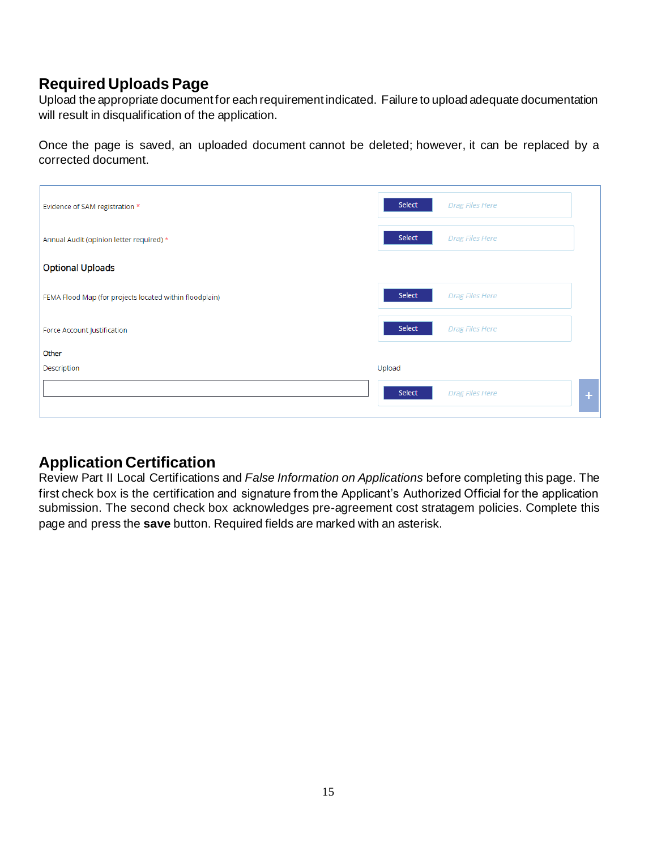## **Required Uploads Page**

Upload the appropriate document for each requirement indicated. Failure to upload adequate documentation will result in disqualification of the application.

Once the page is saved, an uploaded document cannot be deleted; however, it can be replaced by a corrected document.

| Evidence of SAM registration *                          | Select<br><b>Drag Files Here</b>      |  |
|---------------------------------------------------------|---------------------------------------|--|
| Annual Audit (opinion letter required) *                | Select<br><b>Drag Files Here</b>      |  |
| <b>Optional Uploads</b>                                 |                                       |  |
| FEMA Flood Map (for projects located within floodplain) | Select<br><b>Drag Files Here</b>      |  |
| Force Account Justification                             | Select<br><b>Drag Files Here</b>      |  |
| Other                                                   |                                       |  |
| Description                                             | Upload                                |  |
|                                                         | Select<br><b>Drag Files Here</b><br>÷ |  |

## **Application Certification**

Review Part II Local Certifications and *False Information on Applications* before completing this page. The first check box is the certification and signature from the Applicant's Authorized Official for the application submission. The second check box acknowledges pre-agreement cost stratagem policies. Complete this page and press the **save** button. Required fields are marked with an asterisk.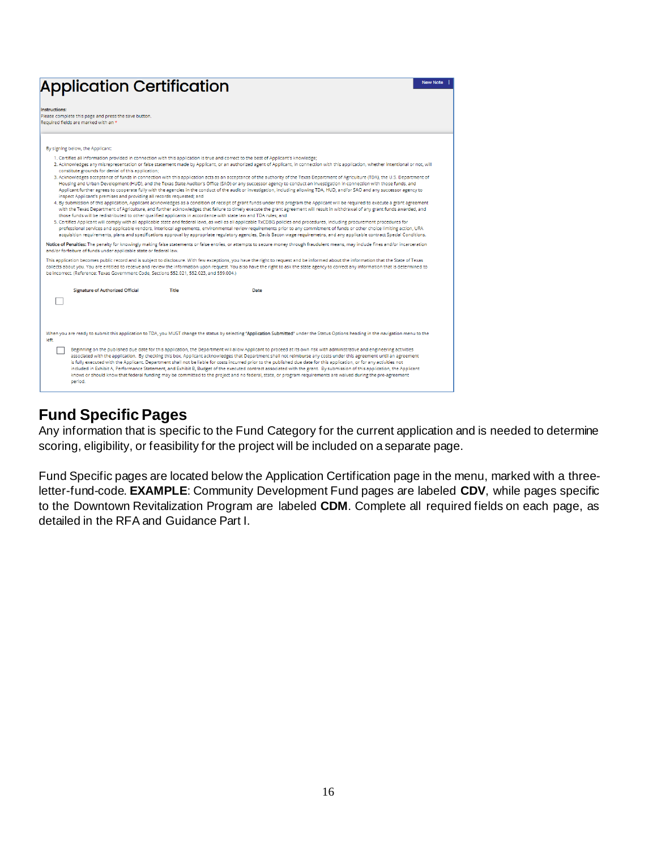| <b>Application Certification</b>                                                                                                                                                                                                                                                                                                                                                                                 |       |                                                                                                                                                                                                                                                                                                                                                                                                                                                                                                                                                                                                                                                                                                                                                                                                                                                                                                                                                                                                                                                                                                                                                                                                                                                                                                                                                                                                                                                                                                                                                                                                                                                                                                                                                                                                                                                                                                                                                                                                                                                                                                                                                                                                                                                                                                                                                                                                 | <b>New Note</b> |
|------------------------------------------------------------------------------------------------------------------------------------------------------------------------------------------------------------------------------------------------------------------------------------------------------------------------------------------------------------------------------------------------------------------|-------|-------------------------------------------------------------------------------------------------------------------------------------------------------------------------------------------------------------------------------------------------------------------------------------------------------------------------------------------------------------------------------------------------------------------------------------------------------------------------------------------------------------------------------------------------------------------------------------------------------------------------------------------------------------------------------------------------------------------------------------------------------------------------------------------------------------------------------------------------------------------------------------------------------------------------------------------------------------------------------------------------------------------------------------------------------------------------------------------------------------------------------------------------------------------------------------------------------------------------------------------------------------------------------------------------------------------------------------------------------------------------------------------------------------------------------------------------------------------------------------------------------------------------------------------------------------------------------------------------------------------------------------------------------------------------------------------------------------------------------------------------------------------------------------------------------------------------------------------------------------------------------------------------------------------------------------------------------------------------------------------------------------------------------------------------------------------------------------------------------------------------------------------------------------------------------------------------------------------------------------------------------------------------------------------------------------------------------------------------------------------------------------------------|-----------------|
| Instructions:<br>Please complete this page and press the save button.<br>Required fields are marked with an *                                                                                                                                                                                                                                                                                                    |       |                                                                                                                                                                                                                                                                                                                                                                                                                                                                                                                                                                                                                                                                                                                                                                                                                                                                                                                                                                                                                                                                                                                                                                                                                                                                                                                                                                                                                                                                                                                                                                                                                                                                                                                                                                                                                                                                                                                                                                                                                                                                                                                                                                                                                                                                                                                                                                                                 |                 |
| By signing below, the Applicant:                                                                                                                                                                                                                                                                                                                                                                                 |       |                                                                                                                                                                                                                                                                                                                                                                                                                                                                                                                                                                                                                                                                                                                                                                                                                                                                                                                                                                                                                                                                                                                                                                                                                                                                                                                                                                                                                                                                                                                                                                                                                                                                                                                                                                                                                                                                                                                                                                                                                                                                                                                                                                                                                                                                                                                                                                                                 |                 |
| constitute grounds for denial of this application;<br>inspect Applicant's premises and providing all records requested; and<br>those funds will be redistributed to other qualified applicants in accordance with state law and TDA rules; and<br>and/or forfeiture of funds under applicable state or federal law.<br>be incorrect. (Reference: Texas Government Code, Sections 552.021, 552.023, and 559.004.) |       | 1. Certifies all information provided in connection with this application is true and correct to the best of Applicant's knowledge;<br>2. Acknowledges any misrepresentation or false statement made by Applicant, or an authorized agent of Applicant, in connection with this application, whether intentional or not, will<br>3. Acknowledges acceptance of funds in connection with this application acts as an acceptance of the authority of the Texas Department of Agriculture (TDA), the U.S. Department of<br>Housing and Urban Development (HUD), and the Texas State Auditor's Office (SAO) or any successor agency to conduct an investigation in connection with those funds, and<br>Applicant further agrees to cooperate fully with the agencies in the conduct of the audit or investigation, including allowing TDA, HUD, and/or SAO and any successor agency to<br>4. By submission of this application, Applicant acknowledges as a condition of receipt of grant funds under this program the Applicant will be required to execute a grant agreement<br>with the Texas Department of Agriculture, and further acknowledges that failure to timely execute the grant agreement will result in withdrawal of any grant funds awarded, and<br>5. Certifies Applicant will comply with all applicable state and federal laws, as well as all applicable TxCDBG policies and procedures, including procurement procedures for<br>professional services and applicable vendors, interlocal agreements, environmental review requirements prior to any commitment of funds or other choice limiting action, URA<br>acquisition requirements, plans and specifications approval by appropriate regulatory agencies, Davis Bacon wage requiremetns, and any applicable contract Special Conditions.<br>Notice of Penalties: The penalty for knowingly making false statements or false entries, or attempts to secure money through fraudulent means, may include fines and/or incarceration<br>This application becomes public record and is subject to disclosure. With few exceptions, you have the right to request and be informed about the information that the State of Texas<br>collects about you. You are entitled to receive and review the information upon request. You also have the right to ask the state agency to correct any information that is determined to |                 |
| <b>Signature of Authorized Official</b>                                                                                                                                                                                                                                                                                                                                                                          | Title | Date                                                                                                                                                                                                                                                                                                                                                                                                                                                                                                                                                                                                                                                                                                                                                                                                                                                                                                                                                                                                                                                                                                                                                                                                                                                                                                                                                                                                                                                                                                                                                                                                                                                                                                                                                                                                                                                                                                                                                                                                                                                                                                                                                                                                                                                                                                                                                                                            |                 |
| left.<br>period.                                                                                                                                                                                                                                                                                                                                                                                                 |       | When you are ready to submit this application to TDA, you MUST change the status by selecting "Application Submitted" under the Status Options heading in the navigation menu to the<br>Beginning on the published due date for this application, the Department will allow Applicant to proceed at its own risk with administrative and engineering activities<br>associated with the application. By checking this box, Applicant acknowledges that Department shall not reimburse any costs under this agreement until an agreement<br>is fully executed with the Applicant. Department shall not be liable for costs incurred prior to the published due date for this application, or for any activities not<br>included in Exhibit A, Performance Statement, and Exhibit B, Budget of the executed contract associated with the grant. By submission of this application, the Applicant<br>knows or should know that federal funding may be committed to the project and no federal, state, or program requirements are waived during the pre-agreement                                                                                                                                                                                                                                                                                                                                                                                                                                                                                                                                                                                                                                                                                                                                                                                                                                                                                                                                                                                                                                                                                                                                                                                                                                                                                                                                   |                 |

## **Fund Specific Pages**

Any information that is specific to the Fund Category for the current application and is needed to determine scoring, eligibility, or feasibility for the project will be included on a separate page.

Fund Specific pages are located below the Application Certification page in the menu, marked with a threeletter-fund-code. **EXAMPLE**: Community Development Fund pages are labeled **CDV**, while pages specific to the Downtown Revitalization Program are labeled **CDM**. Complete all required fields on each page, as detailed in the RFA and Guidance Part I.